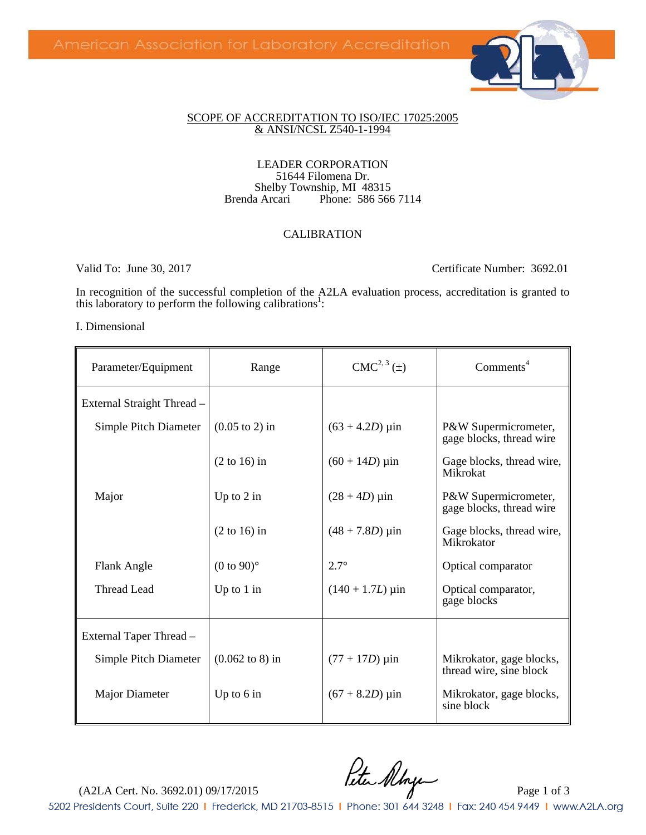

### SCOPE OF ACCREDITATION TO ISO/IEC 17025:2005 & ANSI/NCSL Z540-1-1994

### LEADER CORPORATION 51644 Filomena Dr. Shelby Township, MI 48315<br>Brenda Arcari Phone: 586 566 Phone: 586 566 7114

## CALIBRATION

Valid To: June 30, 2017 Certificate Number: 3692.01

In recognition of the successful completion of the A2LA evaluation process, accreditation is granted to this laboratory to perform the following calibrations<sup>1</sup>:

### I. Dimensional

| Parameter/Equipment        | Range                              | $CMC2, 3(\pm)$                 | Comments <sup>4</sup>                               |
|----------------------------|------------------------------------|--------------------------------|-----------------------------------------------------|
| External Straight Thread - |                                    |                                |                                                     |
| Simple Pitch Diameter      | $(0.05 \text{ to } 2)$ in          | $(63 + 4.2D)$ µin              | P&W Supermicrometer,<br>gage blocks, thread wire    |
|                            | $(2 to 16)$ in                     | $(60 + 14D)$ µin               | Gage blocks, thread wire,<br>Mikrokat               |
| Major                      | Up to $2$ in                       | $(28 + 4D) \,\mu \text{in}$    | P&W Supermicrometer,<br>gage blocks, thread wire    |
|                            | $(2 \text{ to } 16)$ in            | $(48 + 7.8D) \,\mu \text{in}$  | Gage blocks, thread wire,<br>Mikrokator             |
| Flank Angle                | $(0 \text{ to } 90)$ °             | $2.7^\circ$                    | Optical comparator                                  |
| <b>Thread Lead</b>         | Up to $1$ in                       | $(140 + 1.7L) \,\mu \text{in}$ | Optical comparator,<br>gage blocks                  |
| External Taper Thread –    |                                    |                                |                                                     |
| Simple Pitch Diameter      | $(0.062 \text{ to } 8) \text{ in}$ | $(77 + 17D)$ µin               | Mikrokator, gage blocks,<br>thread wire, sine block |
| Major Diameter             | Up to $6$ in                       | $(67 + 8.2D) \,\mu \text{in}$  | Mikrokator, gage blocks,<br>sine block              |

 $($ A2LA Cert. No. 3692.01) 09/17/2015  $f$ utu Almpe 5202 Presidents Court, Suite 220 | Frederick, MD 21703-8515 | Phone: 301 644 3248 | Fax: 240 454 9449 | www.A2LA.org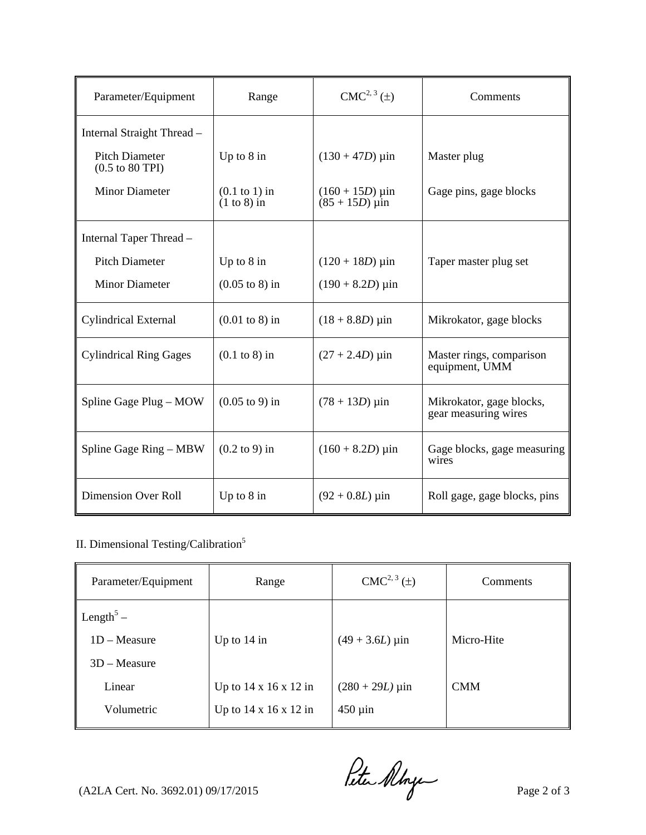| Parameter/Equipment                                         | Range                             | $CMC2, 3(\pm)$                        | Comments                                         |
|-------------------------------------------------------------|-----------------------------------|---------------------------------------|--------------------------------------------------|
| Internal Straight Thread -                                  |                                   |                                       |                                                  |
| <b>Pitch Diameter</b><br>$(0.5 \text{ to } 80 \text{ TPI})$ | Up to $8$ in                      | $(130 + 47D)$ µin                     | Master plug                                      |
| <b>Minor Diameter</b>                                       | $(0.1$ to 1) in<br>$(1 to 8)$ in  | $(160 + 15D)$ µin<br>$(85 + 15D)$ uin | Gage pins, gage blocks                           |
| Internal Taper Thread -                                     |                                   |                                       |                                                  |
| <b>Pitch Diameter</b>                                       | Up to $8$ in                      | $(120 + 18D) \,\mu \text{in}$         | Taper master plug set                            |
| <b>Minor Diameter</b>                                       | $(0.05 \text{ to } 8) \text{ in}$ | $(190 + 8.2D) \,\mu \text{in}$        |                                                  |
| <b>Cylindrical External</b>                                 | $(0.01 \text{ to } 8) \text{ in}$ | $(18 + 8.8D) \,\mu \text{in}$         | Mikrokator, gage blocks                          |
| <b>Cylindrical Ring Gages</b>                               | $(0.1 \text{ to } 8)$ in          | $(27 + 2.4D)$ µin                     | Master rings, comparison<br>equipment, UMM       |
| Spline Gage Plug – MOW                                      | $(0.05 \text{ to } 9) \text{ in}$ | $(78 + 13D)$ µin                      | Mikrokator, gage blocks,<br>gear measuring wires |
| Spline Gage Ring – MBW                                      | $(0.2 \text{ to } 9)$ in          | $(160 + 8.2D) \,\mu \text{in}$        | Gage blocks, gage measuring<br>wires             |
| <b>Dimension Over Roll</b>                                  | Up to $8$ in                      | $(92 + 0.8L) \,\mu \text{in}$         | Roll gage, gage blocks, pins                     |

## II. Dimensional Testing/Calibration<sup>5</sup>

| Parameter/Equipment   | Range                             | $CMC2, 3(\pm)$                | Comments   |
|-----------------------|-----------------------------------|-------------------------------|------------|
| Length <sup>5</sup> – |                                   |                               |            |
| $1D - Measure$        | Up to $14$ in                     | $(49 + 3.6L)$ µin             | Micro-Hite |
| $3D - Measure$        |                                   |                               |            |
| Linear                | Up to $14 \times 16 \times 12$ in | $(280 + 29L) \,\mu \text{in}$ | <b>CMM</b> |
| Volumetric            | Up to $14 \times 16 \times 12$ in | $450 \mu$ in                  |            |

 $($ A2LA Cert. No. 3692.01) 09/17/2015  $\theta$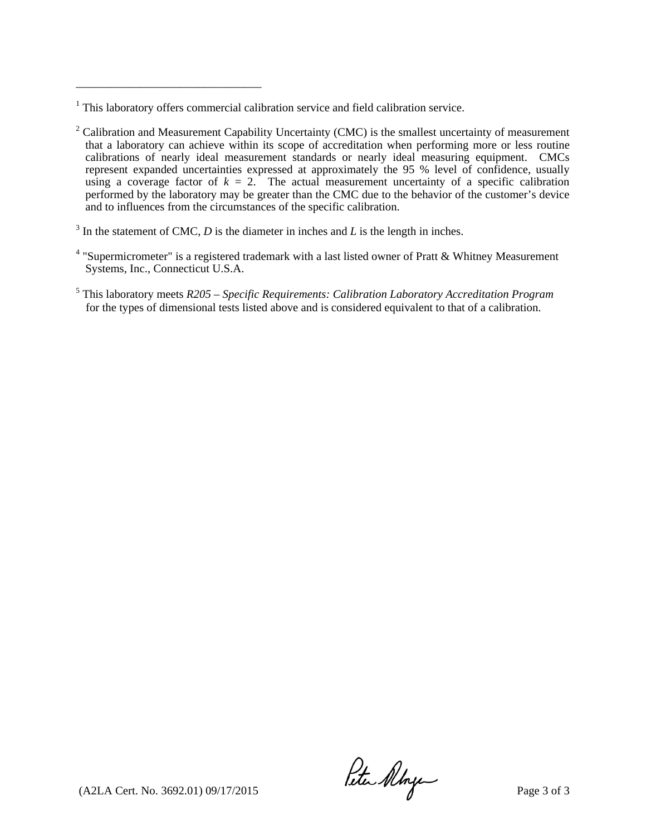\_\_\_\_\_\_\_\_\_\_\_\_\_\_\_\_\_\_\_\_\_\_\_\_\_\_\_\_\_\_\_\_

 $3$  In the statement of CMC, *D* is the diameter in inches and *L* is the length in inches.

- <sup>4</sup> "Supermicrometer" is a registered trademark with a last listed owner of Pratt & Whitney Measurement Systems, Inc., Connecticut U.S.A.
- 5 This laboratory meets *R205 Specific Requirements: Calibration Laboratory Accreditation Program*  for the types of dimensional tests listed above and is considered equivalent to that of a calibration.

 $($ A2LA Cert. No. 3692.01) 09/17/2015  $\mu$   $\mu$ 

<sup>&</sup>lt;sup>1</sup> This laboratory offers commercial calibration service and field calibration service.

 $2^2$  Calibration and Measurement Capability Uncertainty (CMC) is the smallest uncertainty of measurement that a laboratory can achieve within its scope of accreditation when performing more or less routine calibrations of nearly ideal measurement standards or nearly ideal measuring equipment. CMCs represent expanded uncertainties expressed at approximately the 95 % level of confidence, usually using a coverage factor of  $k = 2$ . The actual measurement uncertainty of a specific calibration performed by the laboratory may be greater than the CMC due to the behavior of the customer's device and to influences from the circumstances of the specific calibration.